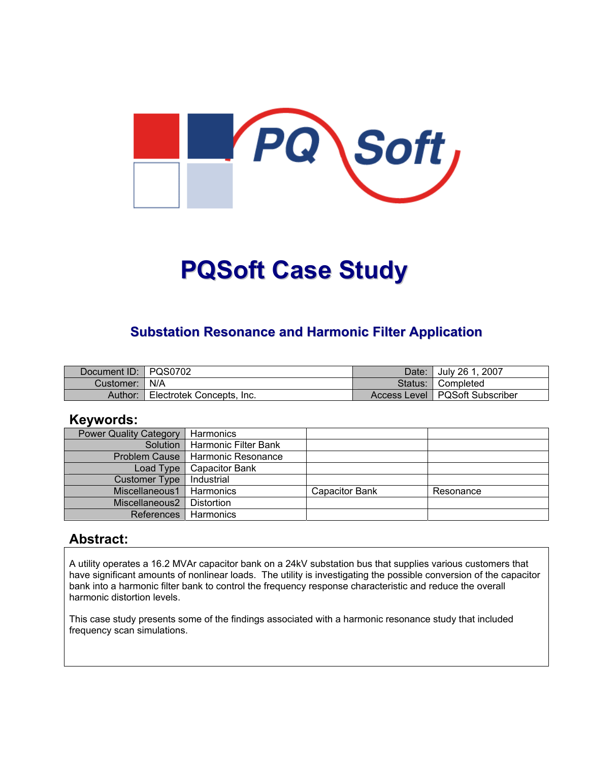

# **PQSoft Case Study**

#### **Substation Resonance and Harmonic Filter Application**

| Document ID: PQS0702 |                           | Date:   | July 26 1, 2007                  |
|----------------------|---------------------------|---------|----------------------------------|
| Customer:   N/A      |                           | Status: | <sup>1</sup> Completed           |
| Author:              | Electrotek Concepts, Inc. |         | Access Level   PQSoft Subscriber |

#### **Keywords:**

| <b>Power Quality Category</b> | Harmonics                          |                       |           |
|-------------------------------|------------------------------------|-----------------------|-----------|
|                               | Solution   Harmonic Filter Bank    |                       |           |
|                               | Problem Cause   Harmonic Resonance |                       |           |
| Load Type                     | <b>Capacitor Bank</b>              |                       |           |
| <b>Customer Type</b>          | Industrial                         |                       |           |
| Miscellaneous1                | Harmonics                          | <b>Capacitor Bank</b> | Resonance |
| Miscellaneous2                | Distortion                         |                       |           |
| <b>References</b>             | Harmonics                          |                       |           |

#### **Abstract:**

A utility operates a 16.2 MVAr capacitor bank on a 24kV substation bus that supplies various customers that have significant amounts of nonlinear loads. The utility is investigating the possible conversion of the capacitor bank into a harmonic filter bank to control the frequency response characteristic and reduce the overall harmonic distortion levels.

This case study presents some of the findings associated with a harmonic resonance study that included frequency scan simulations.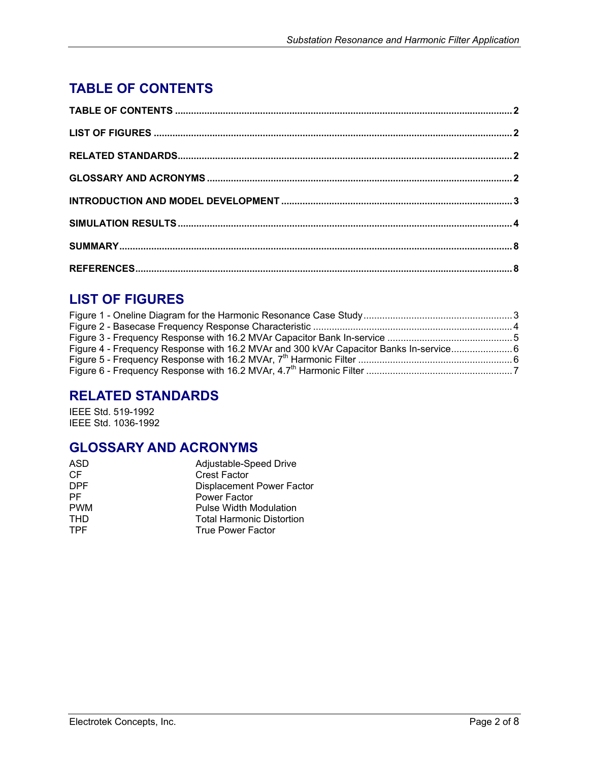## <span id="page-1-0"></span>**TABLE OF CONTENTS**

## **LIST OF FIGURES**

| Figure 4 - Frequency Response with 16.2 MVAr and 300 kVAr Capacitor Banks In-service6 |  |
|---------------------------------------------------------------------------------------|--|
|                                                                                       |  |
|                                                                                       |  |

## **RELATED STANDARDS**

IEEE Std. 519-1992 IEEE Std. 1036-1992

## **GLOSSARY AND ACRONYMS**

| ASD        | Adjustable-Speed Drive           |
|------------|----------------------------------|
| CF.        | <b>Crest Factor</b>              |
| <b>DPF</b> | <b>Displacement Power Factor</b> |
| <b>PF</b>  | Power Factor                     |
| <b>PWM</b> | <b>Pulse Width Modulation</b>    |
| <b>THD</b> | <b>Total Harmonic Distortion</b> |
| <b>TPF</b> | True Power Factor                |
|            |                                  |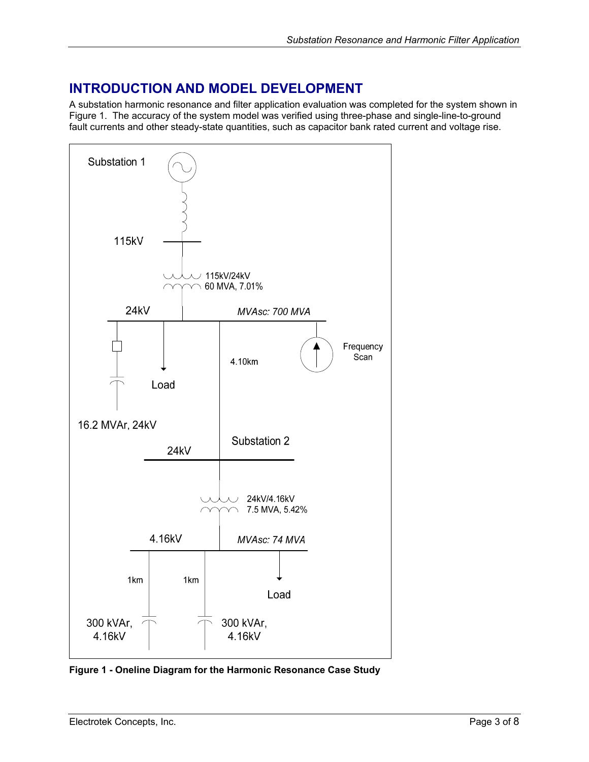## <span id="page-2-0"></span>**INTRODUCTION AND MODEL DEVELOPMENT**

A substation harmonic resonance and filter application evaluation was completed for the system shown in [Figure 1.](#page-2-1) The accuracy of the system model was verified using three-phase and single-line-to-ground fault currents and other steady-state quantities, such as capacitor bank rated current and voltage rise.

<span id="page-2-1"></span>

**Figure 1 - Oneline Diagram for the Harmonic Resonance Case Study**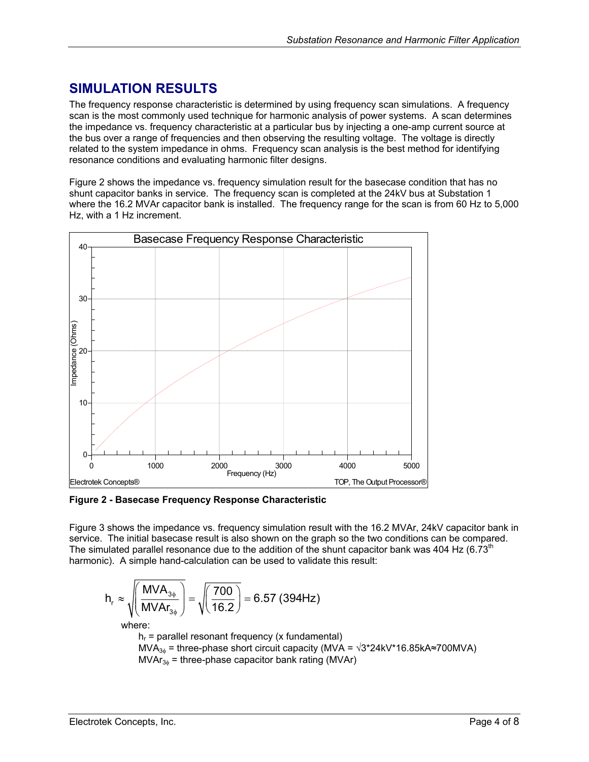## <span id="page-3-0"></span>**SIMULATION RESULTS**

The frequency response characteristic is determined by using frequency scan simulations. A frequency scan is the most commonly used technique for harmonic analysis of power systems. A scan determines the impedance vs. frequency characteristic at a particular bus by injecting a one-amp current source at the bus over a range of frequencies and then observing the resulting voltage. The voltage is directly related to the system impedance in ohms. Frequency scan analysis is the best method for identifying resonance conditions and evaluating harmonic filter designs.

[Figure 2](#page-3-1) shows the impedance vs. frequency simulation result for the basecase condition that has no shunt capacitor banks in service. The frequency scan is completed at the 24kV bus at Substation 1 where the 16.2 MVAr capacitor bank is installed. The frequency range for the scan is from 60 Hz to 5,000 Hz, with a 1 Hz increment.

<span id="page-3-1"></span>

**Figure 2 - Basecase Frequency Response Characteristic** 

[Figure 3](#page-4-1) shows the impedance vs. frequency simulation result with the 16.2 MVAr, 24kV capacitor bank in service. The initial basecase result is also shown on the graph so the two conditions can be compared. The simulated parallel resonance due to the addition of the shunt capacitor bank was 404 Hz  $(6.73<sup>th</sup>)$ harmonic). A simple hand-calculation can be used to validate this result:

$$
h_r \approx \sqrt{\left(\frac{MVA_{3\phi}}{MVAr_{3\phi}}\right)} = \sqrt{\left(\frac{700}{16.2}\right)} = 6.57 \text{ (394Hz)}
$$

where:

 $h_r$  = parallel resonant frequency (x fundamental) MVA<sub>3 $\phi$ </sub> = three-phase short circuit capacity (MVA =  $\sqrt{3}$ \*24kV\*16.85kA≈700MVA)  $MVAr_{3\phi}$  = three-phase capacitor bank rating (MVAr)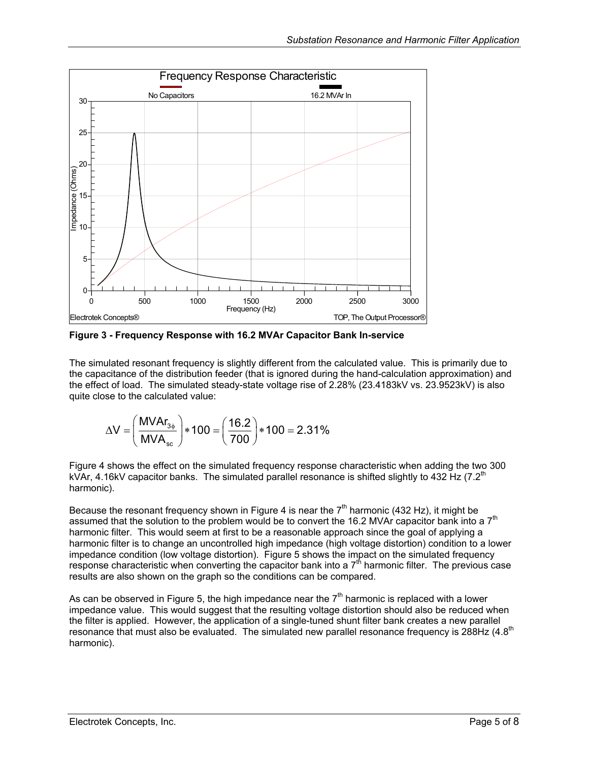<span id="page-4-1"></span><span id="page-4-0"></span>

**Figure 3 - Frequency Response with 16.2 MVAr Capacitor Bank In-service** 

The simulated resonant frequency is slightly different from the calculated value. This is primarily due to the capacitance of the distribution feeder (that is ignored during the hand-calculation approximation) and the effect of load. The simulated steady-state voltage rise of 2.28% (23.4183kV vs. 23.9523kV) is also quite close to the calculated value:

$$
\Delta V = \left(\frac{M V A r_{3\phi}}{M V A_{\rm sc}}\right) * 100 = \left(\frac{16.2}{700}\right) * 100 = 2.31\%
$$

[Figure 4](#page-5-1) shows the effect on the simulated frequency response characteristic when adding the two 300 kVAr, 4.16kV capacitor banks. The simulated parallel resonance is shifted slightly to 432 Hz (7.2<sup>th</sup>) harmonic).

Because the resonant frequency shown in [Figure 4](#page-5-1) is near the  $7<sup>th</sup>$  harmonic (432 Hz), it might be assumed that the solution to the problem would be to convert the 16.2 MVAr capacitor bank into a  $7<sup>th</sup>$ harmonic filter. This would seem at first to be a reasonable approach since the goal of applying a harmonic filter is to change an uncontrolled high impedance (high voltage distortion) condition to a lower impedance condition (low voltage distortion). [Figure 5](#page-5-2) shows the impact on the simulated frequency response characteristic when converting the capacitor bank into a  $7<sup>th</sup>$  harmonic filter. The previous case results are also shown on the graph so the conditions can be compared.

As can be observed in [Figure 5,](#page-5-2) the high impedance near the  $7<sup>th</sup>$  harmonic is replaced with a lower impedance value. This would suggest that the resulting voltage distortion should also be reduced when the filter is applied. However, the application of a single-tuned shunt filter bank creates a new parallel resonance that must also be evaluated. The simulated new parallel resonance frequency is 288Hz  $(4.8<sup>th</sup>$ harmonic).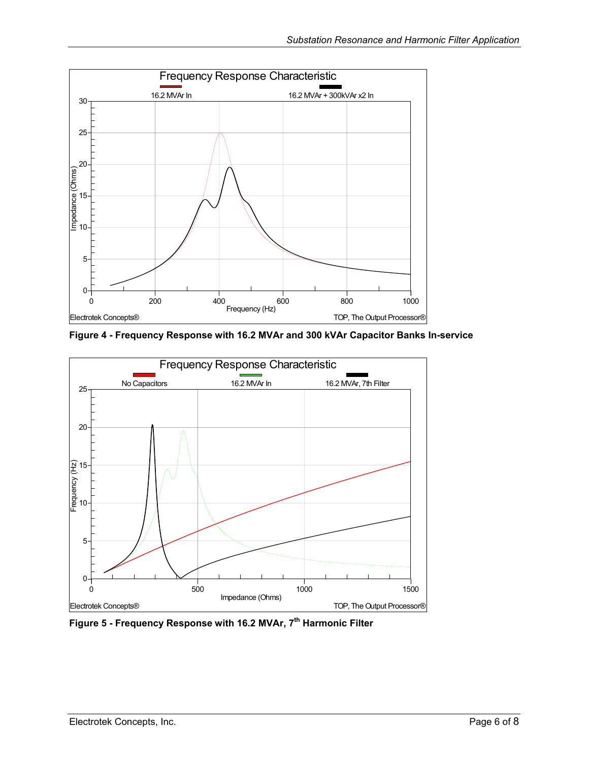<span id="page-5-1"></span><span id="page-5-0"></span>

**Figure 4 - Frequency Response with 16.2 MVAr and 300 kVAr Capacitor Banks In-service** 

<span id="page-5-2"></span>

Figure 5 - Frequency Response with 16.2 MVAr, 7<sup>th</sup> Harmonic Filter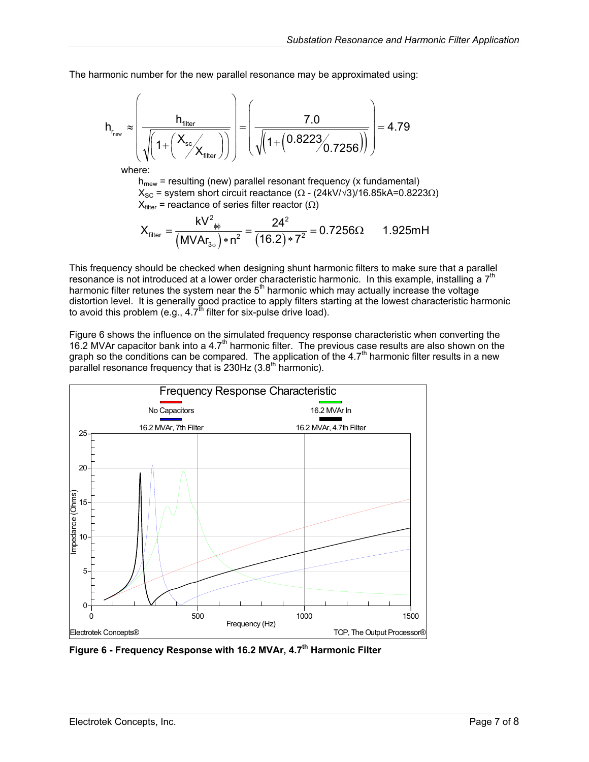<span id="page-6-0"></span>The harmonic number for the new parallel resonance may be approximated using:

$$
h_{r_{\text{new}}} \approx \left(\frac{h_{\text{filter}}}{\sqrt{\left(1 + \left(\frac{X_{\text{sc}}}{X_{\text{filter}}}\right)\right)}}\right) = \left(\frac{7.0}{\sqrt{\left(1 + \left(0.8223/0.7256\right)\right)}}\right) = 4.79
$$
\nwhere:

 $h_{\text{mew}}$  = resulting (new) parallel resonant frequency (x fundamental)  $X_{SC}$  = system short circuit reactance ( $\Omega$  - (24kV/ $\sqrt{3}$ )/16.85kA=0.8223 $\Omega$ )  $X_{\text{filter}}$  = reactance of series filter reactor ( $\Omega$ )

$$
X_{\text{filter}} = \frac{kV_{\phi\phi}^2}{(MVAr_{3\phi}) * n^2} = \frac{24^2}{(16.2) * 7^2} = 0.7256\Omega
$$
 1.925mH

This frequency should be checked when designing shunt harmonic filters to make sure that a parallel resonance is not introduced at a lower order characteristic harmonic. In this example, installing a  $7<sup>th</sup>$ harmonic filter retunes the system near the  $5<sup>th</sup>$  harmonic which may actually increase the voltage distortion level. It is generally good practice to apply filters starting at the lowest characteristic harmonic to avoid this problem (e.g.,  $4.7<sup>th</sup>$  filter for six-pulse drive load).

[Figure 6](#page-6-1) shows the influence on the simulated frequency response characteristic when converting the 16.2 MVAr capacitor bank into a 4.7th harmonic filter. The previous case results are also shown on the graph so the conditions can be compared. The application of the 4.7<sup>th</sup> harmonic filter results in a new parallel resonance frequency that is  $230$ Hz (3.8<sup>th</sup> harmonic).

<span id="page-6-1"></span>

**Figure 6 - Frequency Response with 16.2 MVAr, 4.7th Harmonic Filter**